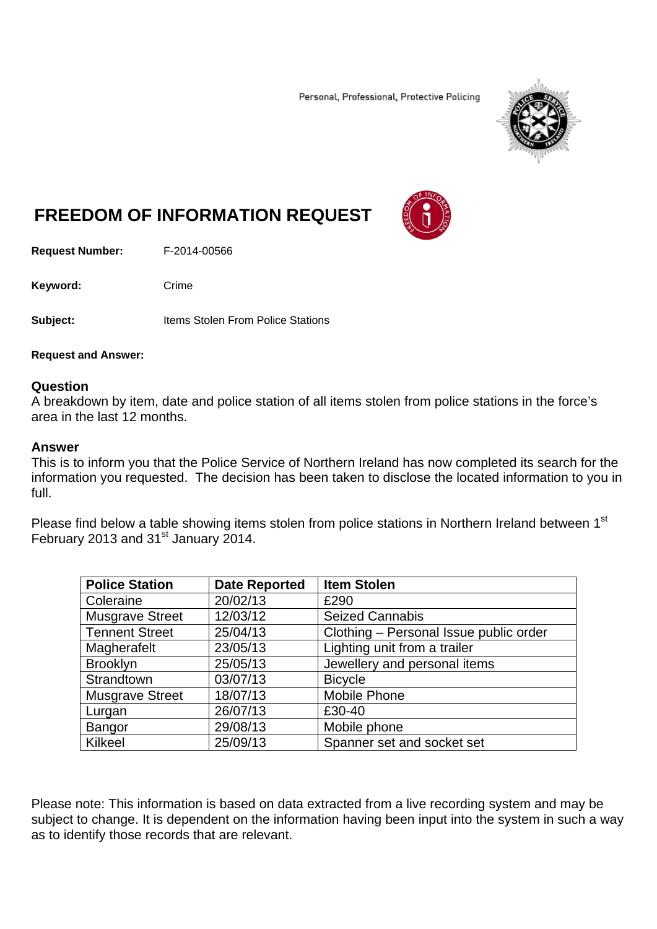Personal, Professional, Protective Policing



## **FREEDOM OF INFORMATION REQUEST**

**Request Number:** F-2014-00566

Keyword: Crime

**Subject:** Items Stolen From Police Stations

**Request and Answer:** 

## **Question**

A breakdown by item, date and police station of all items stolen from police stations in the force's area in the last 12 months.

## **Answer**

This is to inform you that the Police Service of Northern Ireland has now completed its search for the information you requested. The decision has been taken to disclose the located information to you in full.

Please find below a table showing items stolen from police stations in Northern Ireland between 1st February 2013 and 31<sup>st</sup> January 2014.

| <b>Police Station</b>  | <b>Date Reported</b> | <b>Item Stolen</b>                     |
|------------------------|----------------------|----------------------------------------|
| Coleraine              | 20/02/13             | £290                                   |
| <b>Musgrave Street</b> | 12/03/12             | <b>Seized Cannabis</b>                 |
| <b>Tennent Street</b>  | 25/04/13             | Clothing - Personal Issue public order |
| Magherafelt            | 23/05/13             | Lighting unit from a trailer           |
| <b>Brooklyn</b>        | 25/05/13             | Jewellery and personal items           |
| Strandtown             | 03/07/13             | <b>Bicycle</b>                         |
| <b>Musgrave Street</b> | 18/07/13             | <b>Mobile Phone</b>                    |
| Lurgan                 | 26/07/13             | £30-40                                 |
| <b>Bangor</b>          | 29/08/13             | Mobile phone                           |
| Kilkeel                | 25/09/13             | Spanner set and socket set             |

Please note: This information is based on data extracted from a live recording system and may be subject to change. It is dependent on the information having been input into the system in such a way as to identify those records that are relevant.